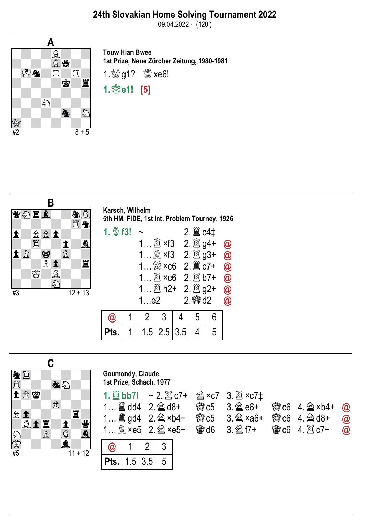09.04.2022 - (120')



Touw Hian Bwee 1st Prize, Neue Zürcher Zeitung, 1980-1981 1. 8 g1? 8 xe6! 1. *S* e1! [5]



| $P$ ts. |  | $1.5$   2.5   3.5 |  |
|---------|--|-------------------|--|



## Goumondy, Claude 1st Prize, Schach, 1977

|  | <b>会c5 3. @ e6+</b>  |
|--|----------------------|
|  | <b>曾c5 3. @ ×a6+</b> |
|  |                      |
|  |                      |

| Pts. | $\vert$ 3.5<br>1.5 |  | 5 |
|------|--------------------|--|---|

| 1 $\hat{\Xi}$ dd4 2. $\hat{\Xi}$ d8+ - 彎 c5 3. $\hat{\Xi}$ e6+ - 彎 c6 4. $\hat{\Xi}$ ×b4+ - @ |  |  |  |
|-----------------------------------------------------------------------------------------------|--|--|--|
| 1 $\hat{\Xi}$ gd4 2. $\hat{\Xi}$ ×b4+ 寄c5 3. $\hat{\Xi}$ ×a6+ 寄c6 4. $\hat{\Xi}$ d8+ @        |  |  |  |
|                                                                                               |  |  |  |